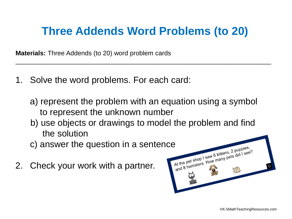## **Three Addends Word Problems (to 20)**

\_\_\_\_\_\_\_\_\_\_\_\_\_\_\_\_\_\_\_\_\_\_\_\_\_\_\_\_\_\_\_\_\_\_\_\_\_\_\_\_\_\_\_\_\_\_\_\_\_\_\_\_\_\_\_\_\_\_\_\_\_\_\_\_\_\_\_\_\_\_\_

**Materials:** Three Addends (to 20) word problem cards

- 1. Solve the word problems. For each card:
	- a) represent the problem with an equation using a symbol to represent the unknown number
	- b) use objects or drawings to model the problem and find the solution
	-
- 2. Check your work with a partner.

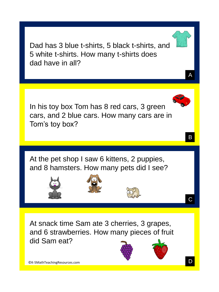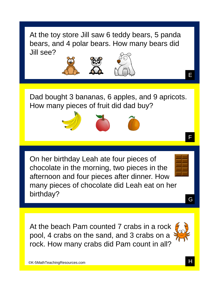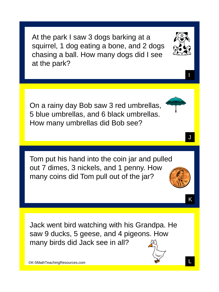At the park I saw 3 dogs barking at a squirrel, 1 dog eating a bone, and 2 dogs chasing a ball. How many dogs did I see at the park?

On a rainy day Bob saw 3 red umbrellas, 5 blue umbrellas, and 6 black umbrellas. How many umbrellas did Bob see?

Tom put his hand into the coin jar and pulled out 7 dimes, 3 nickels, and 1 penny. How many coins did Tom pull out of the jar?

Jack went bird watching with his Grandpa. He saw 9 ducks, 5 geese, and 4 pigeons. How many birds did Jack see in all?



I

J



K